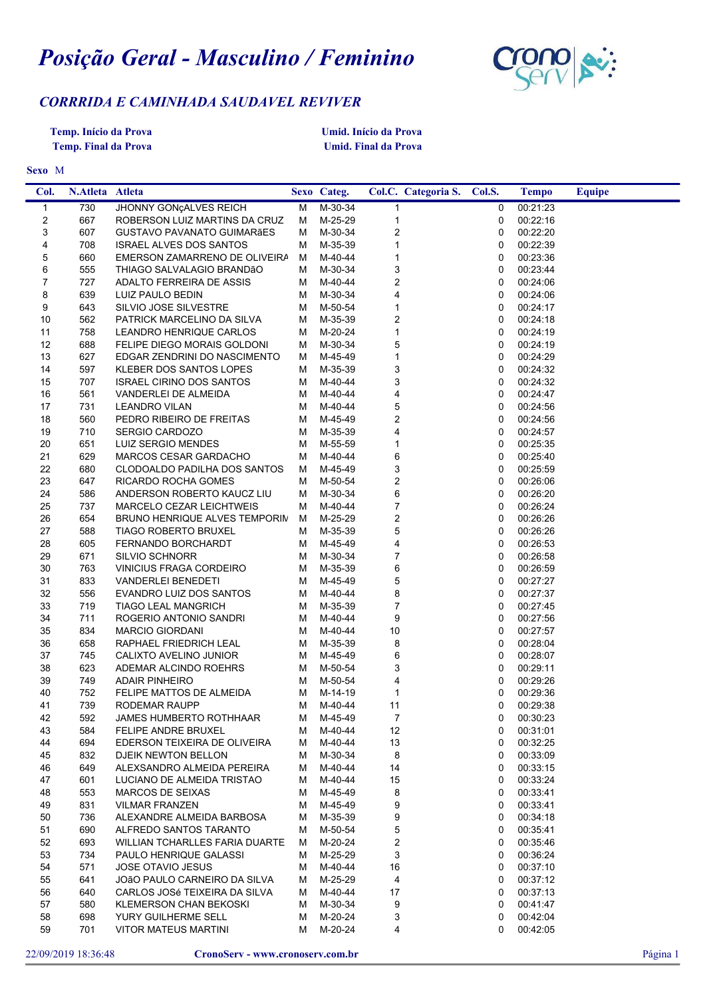## *Posição Geral - Masculino / Feminino*



## *CORRRIDA E CAMINHADA SAUDAVEL REVIVER*

**Temp. Início da Prova Temp. Final da Prova** **Umid. Início da Prova Umid. Final da Prova**

## M **Sexo**

| Col.                    | N.Atleta Atleta |                                          |        | Sexo Categ.        |                         | Col.C. Categoria S. | Col.S.            | <b>Tempo</b>         | <b>Equipe</b> |
|-------------------------|-----------------|------------------------------------------|--------|--------------------|-------------------------|---------------------|-------------------|----------------------|---------------|
| 1                       | 730             | JHONNY GONÇALVES REICH                   | M      | M-30-34            | $\mathbf{1}$            |                     | 0                 | 00:21:23             |               |
| $\overline{\mathbf{c}}$ | 667             | ROBERSON LUIZ MARTINS DA CRUZ            | М      | M-25-29            | $\mathbf{1}$            |                     | 0                 | 00:22:16             |               |
| 3                       | 607             | GUSTAVO PAVANATO GUIMARÃES               | м      | M-30-34            | $\overline{c}$          |                     | 0                 | 00:22:20             |               |
| 4                       | 708             | <b>ISRAEL ALVES DOS SANTOS</b>           | м      | M-35-39            | 1                       |                     | 0                 | 00:22:39             |               |
| 5                       | 660             | EMERSON ZAMARRENO DE OLIVEIRA            | М      | M-40-44            | $\mathbf{1}$            |                     | 0                 | 00:23:36             |               |
| 6                       | 555             | THIAGO SALVALAGIO BRANDÃO                | м      | M-30-34            | 3                       |                     | 0                 | 00:23:44             |               |
| $\overline{7}$          | 727             | ADALTO FERREIRA DE ASSIS                 | м      | M-40-44            | $\overline{c}$          |                     | 0                 | 00:24:06             |               |
| 8                       | 639             | LUIZ PAULO BEDIN                         | м      | M-30-34            | 4                       |                     | 0                 | 00:24:06             |               |
| 9                       | 643             | SILVIO JOSE SILVESTRE                    | м      | M-50-54            | $\mathbf{1}$            |                     | 0                 | 00:24:17             |               |
| 10                      | 562             | PATRICK MARCELINO DA SILVA               | м      | M-35-39            | $\overline{\mathbf{c}}$ |                     | 0                 | 00:24:18             |               |
| 11                      | 758             | LEANDRO HENRIQUE CARLOS                  | м      | M-20-24            | $\mathbf{1}$            |                     | 0                 | 00:24:19             |               |
| 12                      | 688             | FELIPE DIEGO MORAIS GOLDONI              | м      | M-30-34            | 5                       |                     | 0                 | 00:24:19             |               |
| 13                      | 627             | EDGAR ZENDRINI DO NASCIMENTO             | м      | M-45-49            | $\mathbf{1}$            |                     | 0                 | 00:24:29             |               |
| 14                      | 597             | KLEBER DOS SANTOS LOPES                  | м      | M-35-39            | 3                       |                     | 0                 | 00:24:32             |               |
| 15                      | 707             | <b>ISRAEL CIRINO DOS SANTOS</b>          | м      | M-40-44            | 3                       |                     | 0                 | 00:24:32             |               |
| 16                      | 561             | VANDERLEI DE ALMEIDA                     | м      | M-40-44            | 4                       |                     | 0                 | 00:24:47             |               |
| 17                      | 731             | <b>LEANDRO VILAN</b>                     | м      | M-40-44            | $\mathbf 5$             |                     | 0                 | 00:24:56             |               |
| 18                      | 560             | PEDRO RIBEIRO DE FREITAS                 | м      | M-45-49            | $\overline{\mathbf{c}}$ |                     | 0                 | 00:24:56             |               |
| 19                      | 710             | SERGIO CARDOZO                           | M      | M-35-39            | 4                       |                     | 0                 | 00:24:57             |               |
| 20                      | 651             | LUIZ SERGIO MENDES                       | м      | M-55-59            | $\mathbf{1}$            |                     | 0                 | 00:25:35             |               |
| 21                      | 629             | MARCOS CESAR GARDACHO                    | м      | M-40-44            | 6                       |                     | 0                 | 00:25:40             |               |
| 22                      | 680             | CLODOALDO PADILHA DOS SANTOS             | M      | M-45-49            | 3                       |                     | 0                 | 00:25:59             |               |
| 23                      | 647             | RICARDO ROCHA GOMES                      | M      | M-50-54            | $\overline{\mathbf{c}}$ |                     | 0                 | 00:26:06             |               |
| 24                      | 586             | ANDERSON ROBERTO KAUCZ LIU               | м      | M-30-34            | 6                       |                     | 0                 | 00:26:20             |               |
| 25                      | 737             | MARCELO CEZAR LEICHTWEIS                 | м      | M-40-44            | $\boldsymbol{7}$        |                     | 0                 | 00:26:24             |               |
| 26                      | 654             | BRUNO HENRIQUE ALVES TEMPORIN            | M      | M-25-29            | $\overline{\mathbf{c}}$ |                     | 0                 | 00:26:26             |               |
| 27                      | 588             | <b>TIAGO ROBERTO BRUXEL</b>              | м      | M-35-39            | 5                       |                     | 0                 | 00:26:26             |               |
| 28                      | 605             | FERNANDO BORCHARDT                       | м      | M-45-49            | 4                       |                     | 0                 | 00:26:53             |               |
| 29                      | 671             | <b>SILVIO SCHNORR</b>                    | м      | M-30-34            | $\boldsymbol{7}$        |                     | 0                 | 00:26:58             |               |
| 30                      | 763             | VINICIUS FRAGA CORDEIRO                  | м      | M-35-39            | 6                       |                     | 0                 | 00:26:59             |               |
| 31                      | 833             | <b>VANDERLEI BENEDETI</b>                | м      | M-45-49            | 5                       |                     | 0                 | 00:27:27             |               |
| 32                      | 556             | EVANDRO LUIZ DOS SANTOS                  | M      | M-40-44            | 8                       |                     | 0                 | 00:27:37             |               |
| 33                      | 719             | <b>TIAGO LEAL MANGRICH</b>               | м      | M-35-39            | $\boldsymbol{7}$        |                     | 0                 | 00:27:45             |               |
| 34                      | 711             | ROGERIO ANTONIO SANDRI                   | М      | M-40-44            | 9                       |                     | 0                 | 00:27:56             |               |
| 35                      | 834             | <b>MARCIO GIORDANI</b>                   | м      | M-40-44            | 10                      |                     | 0                 | 00:27:57             |               |
| 36                      | 658             | RAPHAEL FRIEDRICH LEAL                   | м      | M-35-39            | 8                       |                     | 0                 | 00:28:04             |               |
| 37                      | 745             | CALIXTO AVELINO JUNIOR                   | м      | M-45-49            | 6                       |                     | 0                 | 00:28:07             |               |
| 38                      | 623             | ADEMAR ALCINDO ROEHRS                    | М      | M-50-54            | 3                       |                     | 0                 | 00:29:11             |               |
| 39                      | 749             | <b>ADAIR PINHEIRO</b>                    | M      | M-50-54            | 4                       |                     | 0<br>0            | 00:29:26             |               |
| 40<br>41                | 752<br>739      | FELIPE MATTOS DE ALMEIDA                 | M<br>м | M-14-19<br>M-40-44 | 1<br>11                 |                     |                   | 00:29:36<br>00:29:38 |               |
| 42                      | 592             | RODEMAR RAUPP<br>JAMES HUMBERTO ROTHHAAR |        | M M-45-49          | $\overline{7}$          |                     | 0<br>$\mathbf{0}$ | 00:30:23             |               |
| 43                      | 584             | <b>FELIPE ANDRE BRUXEL</b>               | M      | M-40-44            | 12                      |                     | 0                 | 00:31:01             |               |
| 44                      | 694             | EDERSON TEIXEIRA DE OLIVEIRA             | M      | M-40-44            | 13                      |                     | 0                 | 00:32:25             |               |
| 45                      | 832             | DJEIK NEWTON BELLON                      | м      | M-30-34            | 8                       |                     | 0                 | 00:33:09             |               |
| 46                      | 649             | ALEXSANDRO ALMEIDA PEREIRA               | M      | M-40-44            | 14                      |                     | 0                 | 00:33:15             |               |
| 47                      | 601             | LUCIANO DE ALMEIDA TRISTAO               | M      | M-40-44            | 15                      |                     | 0                 | 00:33:24             |               |
| 48                      | 553             | MARCOS DE SEIXAS                         | м      | M-45-49            | 8                       |                     | 0                 | 00:33:41             |               |
| 49                      | 831             | <b>VILMAR FRANZEN</b>                    | м      | M-45-49            | 9                       |                     | 0                 | 00:33:41             |               |
| 50                      | 736             | ALEXANDRE ALMEIDA BARBOSA                | M      | M-35-39            | 9                       |                     | 0                 | 00:34:18             |               |
| 51                      | 690             | ALFREDO SANTOS TARANTO                   | M      | M-50-54            | 5                       |                     | 0                 | 00:35:41             |               |
| 52                      | 693             | WILLIAN TCHARLLES FARIA DUARTE           | M      | M-20-24            | 2                       |                     | 0                 | 00:35:46             |               |
| 53                      | 734             | PAULO HENRIQUE GALASSI                   | м      | M-25-29            | 3                       |                     | 0                 | 00:36:24             |               |
| 54                      | 571             | <b>JOSE OTAVIO JESUS</b>                 | M      | M-40-44            | 16                      |                     | 0                 | 00:37:10             |               |
| 55                      | 641             | JOÃO PAULO CARNEIRO DA SILVA             | м      | M-25-29            | 4                       |                     | 0                 | 00:37:12             |               |
| 56                      | 640             | CARLOS JOSé TEIXEIRA DA SILVA            | M      | M-40-44            | 17                      |                     | 0                 | 00:37:13             |               |
| 57                      | 580             | KLEMERSON CHAN BEKOSKI                   | M      | M-30-34            | 9                       |                     | 0                 | 00:41:47             |               |
| 58                      | 698             | YURY GUILHERME SELL                      | M      | M-20-24            | 3                       |                     | 0                 | 00:42:04             |               |
| 59                      | 701             | <b>VITOR MATEUS MARTINI</b>              | M      | M-20-24            | 4                       |                     | 0                 | 00:42:05             |               |